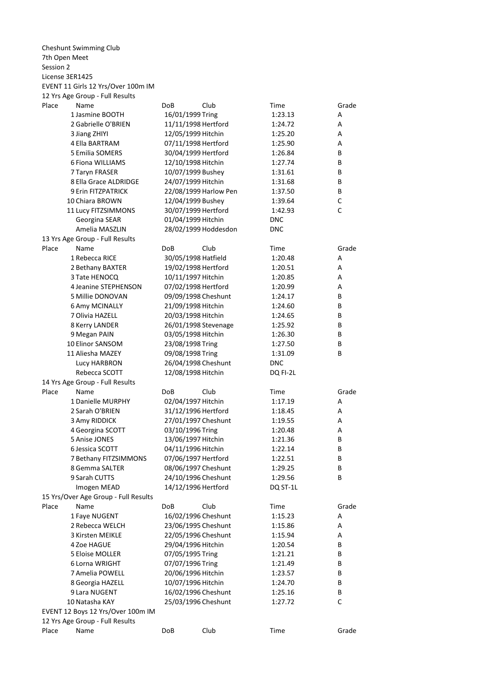7th Open Meet Session 2 License 3ER1425 Place Name DoB Club Time Grade 1 Jasmine BOOTH 16/01/1999 Tring 1:23.13 A 2 Gabrielle O'BRIEN 11/11/1998 Hertford 1:24.72 A 3 12/05/1999 1:25.20 A Jiang ZHIYI Hitchin 4 Ella BARTRAM 07/11/1998 1:25.90 A Hertford 5 30/04/1999 1:26.84 B Emilia SOMERS Hertford 6 12/10/1998 1:27.74 B Fiona WILLIAMS Hitchin 7 Taryn FRASER 10/07/1999 Bushey 1:31.61 B 8 Ella Grace ALDRIDGE 24/07/1999 Hitchin 1:31.68 B 9 Erin FITZPATRICK 22/08/1999 Harlow Pen 1:37.50 B 10 12/04/1999 1:39.64 C Chiara BROWN Bushey 11 Lucy FITZSIMMONS 30/07/1999 Hertford 1:42.93 C 01/04/1999 DNC Georgina SEAR Hitchin Amelia MASZLIN 28/02/1999 Hoddesdon DNC Place Name  $D$ OB Club Time Grade 1 Rebecca RICE 30/05/1998 Hatfield 1:20.48 A 2 Bethany BAXTER 19/02/1998 Hertford 1:20.51 A 3 Tate HENOCQ 10/11/1997 1:20.85 A Hitchin 4 07/02/1998 1:20.99 A Jeanine STEPHENSON Hertford 5 Millie DONOVAN 09/09/1998 1:24.17 B Cheshunt 6 Amy MCINALLY 21/09/1998 Hitchin 1:24.60 B 7 Olivia HAZELL 20/03/1998 Hitchin 1:24.65 B 8 Kerry LANDER 26/01/1998 Stevenage 1:25.92 B 9 03/05/1998 1:26.30 B Megan PAIN Hitchin 10 Elinor SANSOM 23/08/1998 Tring 1:27.50 B 11 Aliesha MAZEY 09/08/1998 Tring 1:31.09 B Lucy HARBRON 26/04/1998 Cheshunt DNC Rebecca SCOTT 12/08/1998 Hitchin DQ FI-2L Place Name **Club** Club Club Time Grade 1 02/04/1997 1:17.19 A Danielle MURPHY Hitchin 2 Sarah O'BRIEN 31/12/1996 Hertford 1:18.45 3 Amy RIDDICK 27/01/1997 Cheshunt 1:19.55 A 4 Georgina SCOTT 63/10/1996 Tring 1:20.48 A 5 Anise JONES 13/06/1997 Hitchin 1:21.36 B 6 Jessica SCOTT 04/11/1996 1:22.14 B Hitchin 7 Bethany FITZSIMMONS 07/06/1997 1:22.51 B 8 08/06/1997 1:29.25 B Gemma SALTER Cheshunt 9 Sarah CUTTS 24/10/1996 1:29.56 B Cheshunt Imogen MEAD 14/12/1996 Hertford DQ ST-1L Place Name DoB Club Time Grade 1 Faye NUGENT 16/02/1996 Cheshunt 1:15.23 A 2 Rebecca WELCH 23/06/1995 Cheshunt 1:15.86 A 3 22/05/1996 1:15.94 A Kirsten MEIKLE Cheshunt 4 Zoe HAGUE 29/04/1996 1:20.54 B Hitchin 5 Eloise MOLLER 07/05/1995 1:21.21 B Tring 6 Lorna WRIGHT **COMPUT 121.49** B 7 Amelia POWELL 20/06/1996 Hitchin 1:23.57 B 8 Georgia HAZELL 10/07/1996 Hitchin 1:24.70 B 9 Lara NUGENT 16/02/1996 Cheshunt 1:25.16 B 10 Natasha KAY 25/03/1996 1:27.72 C Cheshunt Place Name DoB Club Time Grade Cheshunt Swimming Club EVENT 11 Girls 12 Yrs/Over 100m IM 12 Yrs Age Group - Full Results DoB 24/07/1999 Hitchin 30/07/1999 Hertford 13 Yrs Age Group - Full Results DoB 23/08/1998 Tring 09/08/1998 Tring 14 Yrs Age Group - Full Results DoB 03/10/1996 Tring 07/06/1997 Hertford 15 Yrs/Over Age Group - Full Results DoB EVENT 12 Boys 12 Yrs/Over 100m IM 12 Yrs Age Group - Full Results DoB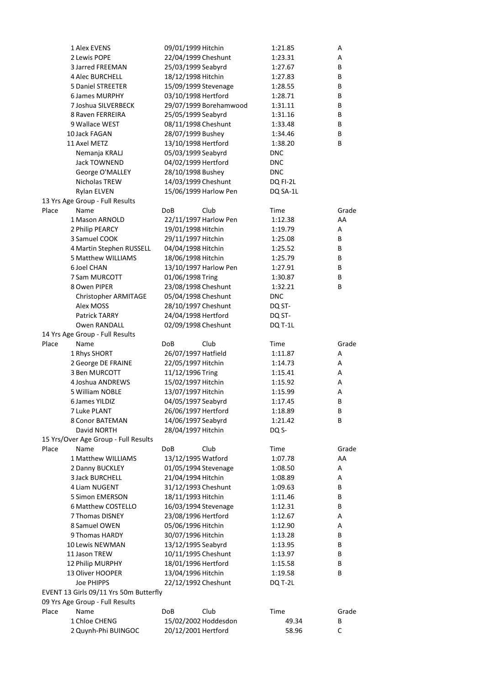|       | 1 Alex EVENS                                 | 09/01/1999 Hitchin                          | 1:21.85            | Α       |  |
|-------|----------------------------------------------|---------------------------------------------|--------------------|---------|--|
|       | 2 Lewis POPE                                 | 22/04/1999 Cheshunt                         | 1:23.31            | Α       |  |
|       | <b>3 Jarred FREEMAN</b>                      | 25/03/1999 Seabyrd                          | 1:27.67            | B       |  |
|       | 4 Alec BURCHELL                              | 18/12/1998 Hitchin                          | 1:27.83            | B       |  |
|       | <b>5 Daniel STREETER</b>                     | 15/09/1999 Stevenage                        | 1:28.55            | B       |  |
|       | <b>6 James MURPHY</b>                        | 03/10/1998 Hertford                         | 1:28.71            | B       |  |
|       | 7 Joshua SILVERBECK                          | 29/07/1999 Borehamwood                      | 1:31.11            | В       |  |
|       | 8 Raven FERREIRA                             | 25/05/1999 Seabyrd                          | 1:31.16            | В       |  |
|       | 9 Wallace WEST                               | 08/11/1998 Cheshunt                         | 1:33.48            | В       |  |
|       | 10 Jack FAGAN                                | 28/07/1999 Bushey                           | 1:34.46            | B       |  |
|       | 11 Axel METZ                                 | 13/10/1998 Hertford                         | 1:38.20            | B       |  |
|       | Nemanja KRALJ                                | 05/03/1999 Seabyrd                          | <b>DNC</b>         |         |  |
|       | <b>Jack TOWNEND</b>                          | 04/02/1999 Hertford                         | <b>DNC</b>         |         |  |
|       | George O'MALLEY                              | 28/10/1998 Bushey                           | <b>DNC</b>         |         |  |
|       | Nicholas TREW                                | 14/03/1999 Cheshunt                         | DQ FI-2L           |         |  |
|       | Rylan ELVEN                                  | 15/06/1999 Harlow Pen                       | DQ SA-1L           |         |  |
|       | 13 Yrs Age Group - Full Results              |                                             |                    |         |  |
| Place | Name                                         | DoB<br>Club                                 | Time               | Grade   |  |
|       | 1 Mason ARNOLD                               | 22/11/1997 Harlow Pen                       | 1:12.38            | AA      |  |
|       | 2 Philip PEARCY                              | 19/01/1998 Hitchin                          | 1:19.79            | Α       |  |
|       | 3 Samuel COOK                                | 29/11/1997 Hitchin                          | 1:25.08            | В       |  |
|       | 4 Martin Stephen RUSSELL                     | 04/04/1998 Hitchin                          | 1:25.52            | B       |  |
|       | 5 Matthew WILLIAMS                           | 18/06/1998 Hitchin                          | 1:25.79            | B       |  |
|       | 6 Joel CHAN                                  | 13/10/1997 Harlow Pen                       | 1:27.91            | B       |  |
|       | 7 Sam MURCOTT                                | 01/06/1998 Tring                            | 1:30.87            | B       |  |
|       | 8 Owen PIPER                                 | 23/08/1998 Cheshunt                         | 1:32.21            | B       |  |
|       | Christopher ARMITAGE                         | 05/04/1998 Cheshunt                         | <b>DNC</b>         |         |  |
|       | Alex MOSS                                    | 28/10/1997 Cheshunt                         | DQ ST-             |         |  |
|       | Patrick TARRY                                | 24/04/1998 Hertford                         | DQ ST-             |         |  |
|       | Owen RANDALL                                 | 02/09/1998 Cheshunt                         | <b>DQ T-1L</b>     |         |  |
|       | 14 Yrs Age Group - Full Results              |                                             |                    |         |  |
| Place | Name                                         | Club<br>DoB                                 | Time               | Grade   |  |
|       | 1 Rhys SHORT                                 | 26/07/1997 Hatfield                         | 1:11.87            | Α       |  |
|       | 2 George DE FRAINE                           | 22/05/1997 Hitchin                          | 1:14.73            | Α       |  |
|       | 3 Ben MURCOTT                                | 11/12/1996 Tring                            | 1:15.41            | А       |  |
|       |                                              |                                             | 1:15.92            | Α       |  |
|       |                                              |                                             |                    |         |  |
|       | 4 Joshua ANDREWS                             | 15/02/1997 Hitchin                          |                    |         |  |
|       | 5 William NOBLE                              | 13/07/1997 Hitchin                          | 1:15.99            | Α       |  |
|       | 6 James YILDIZ                               | 04/05/1997 Seabyrd                          | 1:17.45            | В       |  |
|       | 7 Luke PLANT<br><b>8 Conor BATEMAN</b>       | 26/06/1997 Hertford                         | 1:18.89<br>1:21.42 | B<br>В  |  |
|       |                                              | 14/06/1997 Seabyrd                          |                    |         |  |
|       | David NORTH                                  | 28/04/1997 Hitchin                          | DQ S-              |         |  |
| Place | 15 Yrs/Over Age Group - Full Results<br>Name | Club<br>DoB                                 |                    | Grade   |  |
|       |                                              |                                             | Time               |         |  |
|       | 1 Matthew WILLIAMS                           | 13/12/1995 Watford                          | 1:07.78            | AA<br>А |  |
|       | 2 Danny BUCKLEY                              | 01/05/1994 Stevenage                        | 1:08.50            |         |  |
|       | 3 Jack BURCHELL                              | 21/04/1994 Hitchin                          | 1:08.89            | А       |  |
|       | 4 Liam NUGENT                                | 31/12/1993 Cheshunt                         | 1:09.63            | B       |  |
|       | 5 Simon EMERSON                              | 18/11/1993 Hitchin                          | 1:11.46            | В       |  |
|       | 6 Matthew COSTELLO                           | 16/03/1994 Stevenage                        | 1:12.31            | B       |  |
|       | 7 Thomas DISNEY                              | 23/08/1996 Hertford                         | 1:12.67            | А       |  |
|       | 8 Samuel OWEN                                | 05/06/1996 Hitchin                          | 1:12.90            | А       |  |
|       | 9 Thomas HARDY                               | 30/07/1996 Hitchin                          | 1:13.28            | B       |  |
|       | 10 Lewis NEWMAN                              | 13/12/1995 Seabyrd                          | 1:13.95            | В       |  |
|       | 11 Jason TREW                                | 10/11/1995 Cheshunt                         | 1:13.97            | В       |  |
|       | 12 Philip MURPHY                             | 18/01/1996 Hertford                         | 1:15.58            | В       |  |
|       | 13 Oliver HOOPER                             | 13/04/1996 Hitchin                          | 1:19.58            | В       |  |
|       | Joe PHIPPS                                   | 22/12/1992 Cheshunt                         | DQ T-2L            |         |  |
|       | EVENT 13 Girls 09/11 Yrs 50m Butterfly       |                                             |                    |         |  |
|       | 09 Yrs Age Group - Full Results<br>Name      | Club<br>DoB                                 |                    |         |  |
| Place |                                              |                                             | Time               | Grade   |  |
|       | 1 Chloe CHENG<br>2 Quynh-Phi BUINGOC         | 15/02/2002 Hoddesdon<br>20/12/2001 Hertford | 49.34<br>58.96     | В<br>C  |  |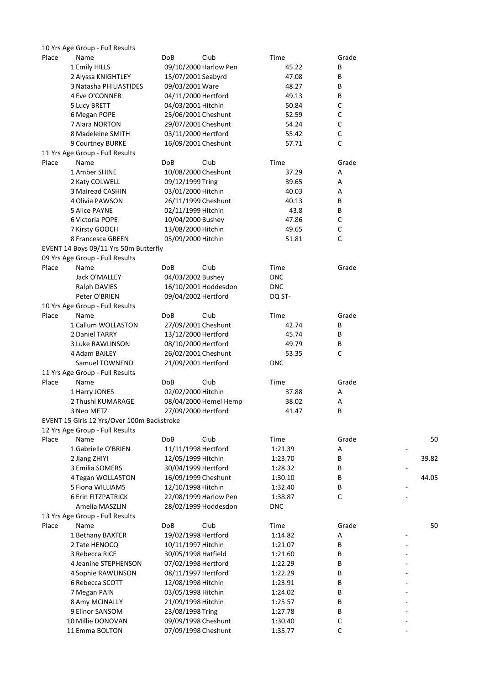|       | 10 Yrs Age Group - Full Results            |                       |            |             |       |
|-------|--------------------------------------------|-----------------------|------------|-------------|-------|
| Place | Name                                       | <b>DoB</b><br>Club    | Time       | Grade       |       |
|       | 1 Emily HILLS                              | 09/10/2000 Harlow Pen | 45.22      | В           |       |
|       | 2 Alyssa KNIGHTLEY                         | 15/07/2001 Seabyrd    | 47.08      | В           |       |
|       | 3 Natasha PHILIASTIDES                     | 09/03/2001 Ware       | 48.27      | В           |       |
|       | 4 Eve O'CONNER                             | 04/11/2000 Hertford   | 49.13      | В           |       |
|       | 5 Lucy BRETT                               | 04/03/2001 Hitchin    | 50.84      | С           |       |
|       | 6 Megan POPE                               | 25/06/2001 Cheshunt   | 52.59      | С           |       |
|       | 7 Alara NORTON                             | 29/07/2001 Cheshunt   | 54.24      | C           |       |
|       | 8 Madeleine SMITH                          | 03/11/2000 Hertford   | 55.42      | C           |       |
|       | 9 Courtney BURKE                           | 16/09/2001 Cheshunt   | 57.71      | $\mathsf C$ |       |
|       | 11 Yrs Age Group - Full Results            |                       |            |             |       |
| Place | Name                                       | <b>DoB</b><br>Club    | Time       | Grade       |       |
|       | 1 Amber SHINE                              | 10/08/2000 Cheshunt   | 37.29      | Α           |       |
|       | 2 Katy COLWELL                             | 09/12/1999 Tring      | 39.65      | Α           |       |
|       | 3 Mairead CASHIN                           | 03/01/2000 Hitchin    | 40.03      | Α           |       |
|       | 4 Olivia PAWSON                            | 26/11/1999 Cheshunt   | 40.13      | В           |       |
|       | 5 Alice PAYNE                              | 02/11/1999 Hitchin    | 43.8       | В           |       |
|       | 6 Victoria POPE                            | 10/04/2000 Bushey     | 47.86      | С           |       |
|       | 7 Kirsty GOOCH                             | 13/08/2000 Hitchin    | 49.65      | С           |       |
|       | 8 Francesca GREEN                          | 05/09/2000 Hitchin    | 51.81      | $\mathsf C$ |       |
|       | EVENT 14 Boys 09/11 Yrs 50m Butterfly      |                       |            |             |       |
|       | 09 Yrs Age Group - Full Results            |                       |            |             |       |
| Place | Name                                       | <b>DoB</b><br>Club    | Time       | Grade       |       |
|       | Jack O'MALLEY                              | 04/03/2002 Bushey     | <b>DNC</b> |             |       |
|       |                                            |                       |            |             |       |
|       | Ralph DAVIES                               | 16/10/2001 Hoddesdon  | <b>DNC</b> |             |       |
|       | Peter O'BRIEN                              | 09/04/2002 Hertford   | DQ ST-     |             |       |
|       | 10 Yrs Age Group - Full Results            |                       |            |             |       |
| Place | Name                                       | Club<br>DoB           | Time       | Grade       |       |
|       | 1 Callum WOLLASTON                         | 27/09/2001 Cheshunt   | 42.74      | В           |       |
|       | 2 Daniel TARRY                             | 13/12/2000 Hertford   | 45.74      | В           |       |
|       | 3 Luke RAWLINSON                           | 08/10/2000 Hertford   | 49.79      | В           |       |
|       | 4 Adam BAILEY                              | 26/02/2001 Cheshunt   | 53.35      | C           |       |
|       | Samuel TOWNEND                             | 21/09/2001 Hertford   | <b>DNC</b> |             |       |
|       | 11 Yrs Age Group - Full Results            |                       |            |             |       |
| Place | Name                                       | Club<br>DoB           | Time       | Grade       |       |
|       | 1 Harry JONES                              | 02/02/2000 Hitchin    | 37.88      | Α           |       |
|       | 2 Thushi KUMARAGE                          | 08/04/2000 Hemel Hemp | 38.02      | Α           |       |
|       | 3 Neo METZ                                 | 27/09/2000 Hertford   | 41.47      | В           |       |
|       | EVENT 15 Girls 12 Yrs/Over 100m Backstroke |                       |            |             |       |
|       | 12 Yrs Age Group - Full Results            |                       |            |             |       |
| Place | Name                                       | DoB<br>Club           | Time       | Grade       | 50    |
|       | 1 Gabrielle O'BRIEN                        | 11/11/1998 Hertford   | 1:21.39    | Α           |       |
|       | 2 Jiang ZHIYI                              | 12/05/1999 Hitchin    | 1:23.70    | В           | 39.82 |
|       | 3 Emilia SOMERS                            | 30/04/1999 Hertford   | 1:28.32    | В           |       |
|       | 4 Tegan WOLLASTON                          | 16/09/1999 Cheshunt   | 1:30.10    | В           | 44.05 |
|       | 5 Fiona WILLIAMS                           | 12/10/1998 Hitchin    | 1:32.40    | В           |       |
|       | 6 Erin FITZPATRICK                         | 22/08/1999 Harlow Pen | 1:38.87    | C           |       |
|       | Amelia MASZLIN                             | 28/02/1999 Hoddesdon  | <b>DNC</b> |             |       |
|       | 13 Yrs Age Group - Full Results            |                       |            |             |       |
| Place | Name                                       | DoB<br>Club           | Time       | Grade       | 50    |
|       | 1 Bethany BAXTER                           | 19/02/1998 Hertford   | 1:14.82    | Α           |       |
|       | 2 Tate HENOCQ                              | 10/11/1997 Hitchin    | 1:21.07    | В           |       |
|       | 3 Rebecca RICE                             | 30/05/1998 Hatfield   | 1:21.60    | В           |       |
|       | 4 Jeanine STEPHENSON                       | 07/02/1998 Hertford   | 1:22.29    | В           |       |
|       | 4 Sophie RAWLINSON                         | 08/11/1997 Hertford   | 1:22.29    | В           |       |
|       | 6 Rebecca SCOTT                            | 12/08/1998 Hitchin    | 1:23.91    | В           |       |
|       |                                            | 03/05/1998 Hitchin    |            |             |       |
|       | 7 Megan PAIN                               |                       | 1:24.02    | В           |       |
|       | 8 Amy MCINALLY                             | 21/09/1998 Hitchin    | 1:25.57    | B           |       |
|       | 9 Elinor SANSOM                            | 23/08/1998 Tring      | 1:27.78    | В           |       |
|       | 10 Millie DONOVAN                          | 09/09/1998 Cheshunt   | 1:30.40    | $\mathsf C$ |       |
|       | 11 Emma BOLTON                             | 07/09/1998 Cheshunt   | 1:35.77    | $\mathsf C$ |       |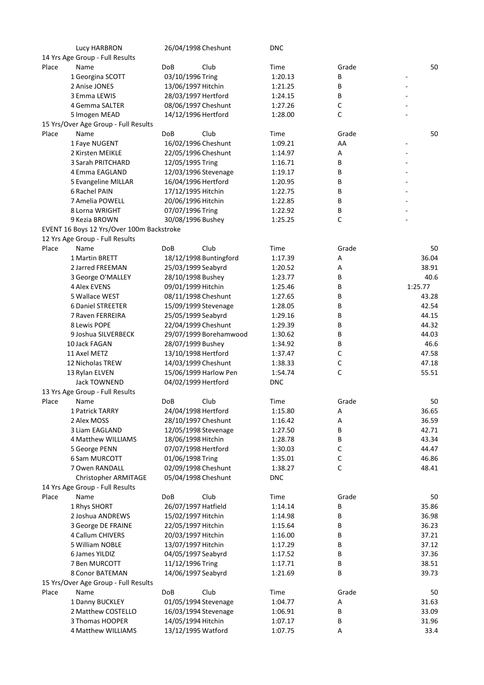|       | Lucy HARBRON                              | 26/04/1998 Cheshunt    | <b>DNC</b> |             |                          |
|-------|-------------------------------------------|------------------------|------------|-------------|--------------------------|
|       | 14 Yrs Age Group - Full Results           |                        |            |             |                          |
| Place | Name                                      | Club<br>DoB            | Time       | Grade       | 50                       |
|       | 1 Georgina SCOTT                          | 03/10/1996 Tring       | 1:20.13    | В           | $\overline{\phantom{0}}$ |
|       | 2 Anise JONES                             | 13/06/1997 Hitchin     | 1:21.25    | В           | $\overline{\phantom{a}}$ |
|       | 3 Emma LEWIS                              | 28/03/1997 Hertford    | 1:24.15    | B           |                          |
|       | 4 Gemma SALTER                            | 08/06/1997 Cheshunt    | 1:27.26    | С           |                          |
|       | 5 Imogen MEAD                             | 14/12/1996 Hertford    | 1:28.00    | C           |                          |
|       | 15 Yrs/Over Age Group - Full Results      |                        |            |             |                          |
| Place | Name                                      | <b>DoB</b><br>Club     | Time       | Grade       | 50                       |
|       | 1 Faye NUGENT                             | 16/02/1996 Cheshunt    | 1:09.21    | AA          | -                        |
|       | 2 Kirsten MEIKLE                          | 22/05/1996 Cheshunt    | 1:14.97    | Α           |                          |
|       | 3 Sarah PRITCHARD                         | 12/05/1995 Tring       | 1:16.71    | В           |                          |
|       | 4 Emma EAGLAND                            | 12/03/1996 Stevenage   | 1:19.17    | В           |                          |
|       |                                           | 16/04/1996 Hertford    | 1:20.95    | В           |                          |
|       | 5 Evangeline MILLAR<br>6 Rachel PAIN      |                        |            |             |                          |
|       |                                           | 17/12/1995 Hitchin     | 1:22.75    | В           |                          |
|       | 7 Amelia POWELL                           | 20/06/1996 Hitchin     | 1:22.85    | В           |                          |
|       | 8 Lorna WRIGHT                            | 07/07/1996 Tring       | 1:22.92    | В           |                          |
|       | 9 Kezia BROWN                             | 30/08/1996 Bushey      | 1:25.25    | С           |                          |
|       | EVENT 16 Boys 12 Yrs/Over 100m Backstroke |                        |            |             |                          |
|       | 12 Yrs Age Group - Full Results           |                        |            |             |                          |
| Place | Name                                      | Club<br><b>DoB</b>     | Time       | Grade       | 50                       |
|       | 1 Martin BRETT                            | 18/12/1998 Buntingford | 1:17.39    | Α           | 36.04                    |
|       | 2 Jarred FREEMAN                          | 25/03/1999 Seabyrd     | 1:20.52    | Α           | 38.91                    |
|       | 3 George O'MALLEY                         | 28/10/1998 Bushey      | 1:23.77    | B           | 40.6                     |
|       | <b>4 Alex EVENS</b>                       | 09/01/1999 Hitchin     | 1:25.46    | В           | 1:25.77                  |
|       | 5 Wallace WEST                            | 08/11/1998 Cheshunt    | 1:27.65    | В           | 43.28                    |
|       | 6 Daniel STREETER                         | 15/09/1999 Stevenage   | 1:28.05    | B           | 42.54                    |
|       | 7 Raven FERREIRA                          | 25/05/1999 Seabyrd     | 1:29.16    | В           | 44.15                    |
|       | 8 Lewis POPE                              | 22/04/1999 Cheshunt    | 1:29.39    | В           | 44.32                    |
|       | 9 Joshua SILVERBECK                       | 29/07/1999 Borehamwood | 1:30.62    | B           | 44.03                    |
|       | 10 Jack FAGAN                             | 28/07/1999 Bushey      | 1:34.92    | В           | 46.6                     |
|       | 11 Axel METZ                              | 13/10/1998 Hertford    | 1:37.47    | С           | 47.58                    |
|       | 12 Nicholas TREW                          | 14/03/1999 Cheshunt    | 1:38.33    | С           | 47.18                    |
|       | 13 Rylan ELVEN                            | 15/06/1999 Harlow Pen  | 1:54.74    | C           | 55.51                    |
|       | <b>Jack TOWNEND</b>                       | 04/02/1999 Hertford    | <b>DNC</b> |             |                          |
|       | 13 Yrs Age Group - Full Results           |                        |            |             |                          |
| Place | Name                                      | Club<br>DoB            | Time       | Grade       | 50                       |
|       | 1 Patrick TARRY                           | 24/04/1998 Hertford    | 1:15.80    | А           | 36.65                    |
|       | 2 Alex MOSS                               | 28/10/1997 Cheshunt    | 1:16.42    | А           | 36.59                    |
|       | 3 Liam EAGLAND                            | 12/05/1998 Stevenage   | 1:27.50    | В           | 42.71                    |
|       | 4 Matthew WILLIAMS                        | 18/06/1998 Hitchin     | 1:28.78    | В           | 43.34                    |
|       | 5 George PENN                             | 07/07/1998 Hertford    | 1:30.03    | С           | 44.47                    |
|       | 6 Sam MURCOTT                             | 01/06/1998 Tring       | 1:35.01    | $\mathsf C$ | 46.86                    |
|       | 7 Owen RANDALL                            | 02/09/1998 Cheshunt    | 1:38.27    | С           | 48.41                    |
|       | Christopher ARMITAGE                      | 05/04/1998 Cheshunt    | <b>DNC</b> |             |                          |
|       | 14 Yrs Age Group - Full Results           |                        |            |             |                          |
| Place | Name                                      | Club<br>DoB            | Time       | Grade       | 50                       |
|       | 1 Rhys SHORT                              | 26/07/1997 Hatfield    | 1:14.14    | В           | 35.86                    |
|       | 2 Joshua ANDREWS                          | 15/02/1997 Hitchin     | 1:14.98    | В           | 36.98                    |
|       |                                           |                        |            |             |                          |
|       | 3 George DE FRAINE                        | 22/05/1997 Hitchin     | 1:15.64    | В           | 36.23                    |
|       | 4 Callum CHIVERS                          | 20/03/1997 Hitchin     | 1:16.00    | В           | 37.21                    |
|       | 5 William NOBLE                           | 13/07/1997 Hitchin     | 1:17.29    | В           | 37.12                    |
|       | 6 James YILDIZ                            | 04/05/1997 Seabyrd     | 1:17.52    | В           | 37.36                    |
|       | 7 Ben MURCOTT                             | 11/12/1996 Tring       | 1:17.71    | В           | 38.51                    |
|       | 8 Conor BATEMAN                           | 14/06/1997 Seabyrd     | 1:21.69    | B           | 39.73                    |
|       | 15 Yrs/Over Age Group - Full Results      |                        |            |             |                          |
| Place | Name                                      | <b>DoB</b><br>Club     | Time       | Grade       | 50                       |
|       | 1 Danny BUCKLEY                           | 01/05/1994 Stevenage   | 1:04.77    | Α           | 31.63                    |
|       | 2 Matthew COSTELLO                        | 16/03/1994 Stevenage   | 1:06.91    | В           | 33.09                    |
|       | 3 Thomas HOOPER                           | 14/05/1994 Hitchin     | 1:07.17    | В           | 31.96                    |
|       | 4 Matthew WILLIAMS                        | 13/12/1995 Watford     | 1:07.75    | Α           | 33.4                     |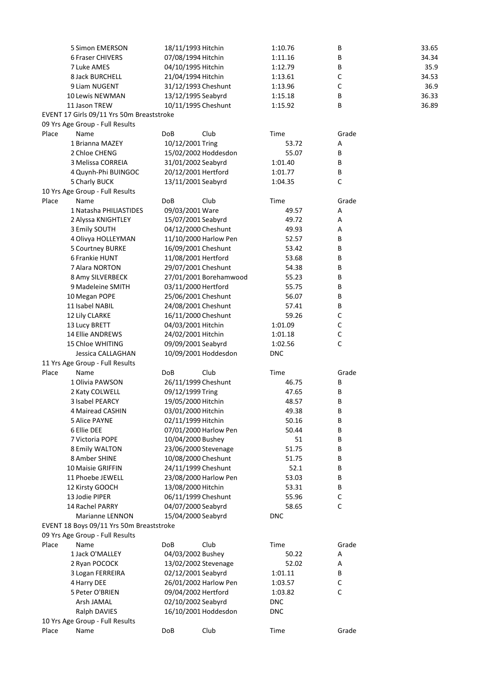|       | 5 Simon EMERSON                           |     | 18/11/1993 Hitchin     | 1:10.76    | В           | 33.65 |
|-------|-------------------------------------------|-----|------------------------|------------|-------------|-------|
|       | 6 Fraser CHIVERS                          |     | 07/08/1994 Hitchin     | 1:11.16    | В           | 34.34 |
|       | 7 Luke AMES                               |     | 04/10/1995 Hitchin     | 1:12.79    | В           | 35.9  |
|       | 8 Jack BURCHELL                           |     | 21/04/1994 Hitchin     | 1:13.61    | С           | 34.53 |
|       | 9 Liam NUGENT                             |     | 31/12/1993 Cheshunt    | 1:13.96    | $\mathsf C$ | 36.9  |
|       | 10 Lewis NEWMAN                           |     | 13/12/1995 Seabyrd     | 1:15.18    | В           | 36.33 |
|       | 11 Jason TREW                             |     | 10/11/1995 Cheshunt    | 1:15.92    | B           | 36.89 |
|       | EVENT 17 Girls 09/11 Yrs 50m Breaststroke |     |                        |            |             |       |
|       | 09 Yrs Age Group - Full Results           |     |                        |            |             |       |
| Place | Name                                      | DoB | Club                   | Time       | Grade       |       |
|       | 1 Brianna MAZEY                           |     | 10/12/2001 Tring       | 53.72      | Α           |       |
|       | 2 Chloe CHENG                             |     | 15/02/2002 Hoddesdon   | 55.07      | B           |       |
|       | 3 Melissa CORREIA                         |     | 31/01/2002 Seabyrd     | 1:01.40    | B           |       |
|       | 4 Quynh-Phi BUINGOC                       |     | 20/12/2001 Hertford    | 1:01.77    | В           |       |
|       | 5 Charly BUCK                             |     | 13/11/2001 Seabyrd     | 1:04.35    | $\mathsf C$ |       |
|       | 10 Yrs Age Group - Full Results           |     |                        |            |             |       |
| Place | Name                                      | DoB | Club                   | Time       | Grade       |       |
|       | 1 Natasha PHILIASTIDES                    |     | 09/03/2001 Ware        | 49.57      | Α           |       |
|       | 2 Alyssa KNIGHTLEY                        |     | 15/07/2001 Seabyrd     | 49.72      | Α           |       |
|       | 3 Emily SOUTH                             |     | 04/12/2000 Cheshunt    | 49.93      | Α           |       |
|       | 4 Olivya HOLLEYMAN                        |     | 11/10/2000 Harlow Pen  | 52.57      | В           |       |
|       | 5 Courtney BURKE                          |     | 16/09/2001 Cheshunt    | 53.42      | В           |       |
|       | 6 Frankie HUNT                            |     | 11/08/2001 Hertford    | 53.68      | B           |       |
|       | 7 Alara NORTON                            |     | 29/07/2001 Cheshunt    | 54.38      | B           |       |
|       | 8 Amy SILVERBECK                          |     | 27/01/2001 Borehamwood | 55.23      | В           |       |
|       | 9 Madeleine SMITH                         |     | 03/11/2000 Hertford    | 55.75      | В           |       |
|       | 10 Megan POPE                             |     | 25/06/2001 Cheshunt    | 56.07      | В           |       |
|       | 11 Isabel NABIL                           |     | 24/08/2001 Cheshunt    | 57.41      | B           |       |
|       | 12 Lily CLARKE                            |     | 16/11/2000 Cheshunt    | 59.26      | С           |       |
|       | 13 Lucy BRETT                             |     | 04/03/2001 Hitchin     | 1:01.09    | $\mathsf C$ |       |
|       | 14 Ellie ANDREWS                          |     | 24/02/2001 Hitchin     | 1:01.18    | $\mathsf C$ |       |
|       | 15 Chloe WHITING                          |     | 09/09/2001 Seabyrd     | 1:02.56    | $\mathsf C$ |       |
|       | Jessica CALLAGHAN                         |     | 10/09/2001 Hoddesdon   | <b>DNC</b> |             |       |
|       | 11 Yrs Age Group - Full Results           |     |                        |            |             |       |
| Place | Name                                      | DoB | Club                   | Time       | Grade       |       |
|       | 1 Olivia PAWSON                           |     | 26/11/1999 Cheshunt    | 46.75      | B           |       |
|       | 2 Katy COLWELL                            |     | 09/12/1999 Tring       | 47.65      | В           |       |
|       | <b>3 Isabel PEARCY</b>                    |     | 19/05/2000 Hitchin     | 48.57      | В           |       |
|       | 4 Mairead CASHIN                          |     | 03/01/2000 Hitchin     | 49.38      | В           |       |
|       | 5 Alice PAYNE                             |     | 02/11/1999 Hitchin     | 50.16      | B           |       |
|       | 6 Ellie DEE                               |     | 07/01/2000 Harlow Pen  | 50.44      | В           |       |
|       | 7 Victoria POPE                           |     | 10/04/2000 Bushey      | 51         | В           |       |
|       | 8 Emily WALTON                            |     | 23/06/2000 Stevenage   | 51.75      | В           |       |
|       | 8 Amber SHINE                             |     | 10/08/2000 Cheshunt    | 51.75      | В           |       |
|       | 10 Maisie GRIFFIN                         |     | 24/11/1999 Cheshunt    | 52.1       | B           |       |
|       | 11 Phoebe JEWELL                          |     | 23/08/2000 Harlow Pen  | 53.03      | В           |       |
|       | 12 Kirsty GOOCH                           |     | 13/08/2000 Hitchin     | 53.31      | B           |       |
|       | 13 Jodie PIPER                            |     | 06/11/1999 Cheshunt    | 55.96      | C           |       |
|       | 14 Rachel PARRY                           |     | 04/07/2000 Seabyrd     | 58.65      | $\mathsf C$ |       |
|       | Marianne LENNON                           |     | 15/04/2000 Seabyrd     | <b>DNC</b> |             |       |
|       | EVENT 18 Boys 09/11 Yrs 50m Breaststroke  |     |                        |            |             |       |
|       | 09 Yrs Age Group - Full Results           |     |                        |            |             |       |
| Place | Name                                      | DoB | Club                   | Time       | Grade       |       |
|       | 1 Jack O'MALLEY                           |     | 04/03/2002 Bushey      | 50.22      | Α           |       |
|       | 2 Ryan POCOCK                             |     | 13/02/2002 Stevenage   | 52.02      | Α           |       |
|       | 3 Logan FERREIRA                          |     | 02/12/2001 Seabyrd     | 1:01.11    | B           |       |
|       | 4 Harry DEE                               |     | 26/01/2002 Harlow Pen  | 1:03.57    | $\mathsf C$ |       |
|       | 5 Peter O'BRIEN                           |     | 09/04/2002 Hertford    | 1:03.82    | $\mathsf C$ |       |
|       | Arsh JAMAL                                |     | 02/10/2002 Seabyrd     | <b>DNC</b> |             |       |
|       | Ralph DAVIES                              |     | 16/10/2001 Hoddesdon   | <b>DNC</b> |             |       |
|       | 10 Yrs Age Group - Full Results           |     |                        |            |             |       |
| Place | Name                                      | DoB | Club                   | Time       | Grade       |       |
|       |                                           |     |                        |            |             |       |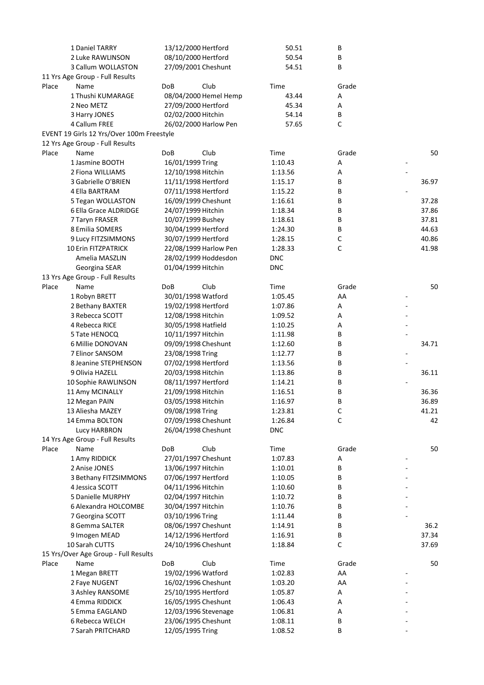|       | 1 Daniel TARRY                            |                     | 13/12/2000 Hertford   | 50.51      | В     |       |
|-------|-------------------------------------------|---------------------|-----------------------|------------|-------|-------|
|       | 2 Luke RAWLINSON                          | 08/10/2000 Hertford |                       | 50.54      | В     |       |
|       | 3 Callum WOLLASTON                        | 27/09/2001 Cheshunt |                       | 54.51      | В     |       |
|       | 11 Yrs Age Group - Full Results           |                     |                       |            |       |       |
| Place | Name                                      | <b>DoB</b>          | Club                  | Time       | Grade |       |
|       | 1 Thushi KUMARAGE                         |                     | 08/04/2000 Hemel Hemp | 43.44      | Α     |       |
|       | 2 Neo METZ                                |                     | 27/09/2000 Hertford   | 45.34      | Α     |       |
|       | 3 Harry JONES                             |                     | 02/02/2000 Hitchin    | 54.14      | В     |       |
|       | 4 Callum FREE                             |                     | 26/02/2000 Harlow Pen | 57.65      | С     |       |
|       | EVENT 19 Girls 12 Yrs/Over 100m Freestyle |                     |                       |            |       |       |
|       | 12 Yrs Age Group - Full Results           |                     |                       |            |       |       |
| Place | Name                                      | <b>DoB</b>          | Club                  | Time       | Grade | 50    |
|       | 1 Jasmine BOOTH                           |                     | 16/01/1999 Tring      | 1:10.43    | Α     |       |
|       | 2 Fiona WILLIAMS                          |                     | 12/10/1998 Hitchin    | 1:13.56    | А     |       |
|       | 3 Gabrielle O'BRIEN                       |                     | 11/11/1998 Hertford   | 1:15.17    | В     | 36.97 |
|       | 4 Ella BARTRAM                            |                     | 07/11/1998 Hertford   | 1:15.22    | В     |       |
|       | 5 Tegan WOLLASTON                         |                     | 16/09/1999 Cheshunt   | 1:16.61    | В     | 37.28 |
|       | 6 Ella Grace ALDRIDGE                     |                     | 24/07/1999 Hitchin    | 1:18.34    | В     | 37.86 |
|       |                                           |                     |                       | 1:18.61    | B     | 37.81 |
|       | 7 Taryn FRASER<br>8 Emilia SOMERS         |                     | 10/07/1999 Bushey     |            | В     | 44.63 |
|       |                                           |                     | 30/04/1999 Hertford   | 1:24.30    |       |       |
|       | 9 Lucy FITZSIMMONS                        |                     | 30/07/1999 Hertford   | 1:28.15    | С     | 40.86 |
|       | <b>10 Erin FITZPATRICK</b>                |                     | 22/08/1999 Harlow Pen | 1:28.33    | С     | 41.98 |
|       | Amelia MASZLIN                            |                     | 28/02/1999 Hoddesdon  | <b>DNC</b> |       |       |
|       | Georgina SEAR                             |                     | 01/04/1999 Hitchin    | <b>DNC</b> |       |       |
|       | 13 Yrs Age Group - Full Results           |                     |                       |            |       |       |
| Place | Name                                      | <b>DoB</b>          | Club                  | Time       | Grade | 50    |
|       | 1 Robyn BRETT                             |                     | 30/01/1998 Watford    | 1:05.45    | AA    |       |
|       | 2 Bethany BAXTER                          |                     | 19/02/1998 Hertford   | 1:07.86    | А     |       |
|       | 3 Rebecca SCOTT                           |                     | 12/08/1998 Hitchin    | 1:09.52    | Α     |       |
|       | 4 Rebecca RICE                            |                     | 30/05/1998 Hatfield   | 1:10.25    | А     |       |
|       | 5 Tate HENOCQ                             |                     | 10/11/1997 Hitchin    | 1:11.98    | В     |       |
|       | 6 Millie DONOVAN                          |                     | 09/09/1998 Cheshunt   | 1:12.60    | В     | 34.71 |
|       | 7 Elinor SANSOM                           |                     | 23/08/1998 Tring      | 1:12.77    | В     |       |
|       | 8 Jeanine STEPHENSON                      |                     | 07/02/1998 Hertford   | 1:13.56    | В     |       |
|       | 9 Olivia HAZELL                           |                     | 20/03/1998 Hitchin    | 1:13.86    | В     | 36.11 |
|       | 10 Sophie RAWLINSON                       |                     | 08/11/1997 Hertford   | 1:14.21    | В     |       |
|       | 11 Amy MCINALLY                           |                     | 21/09/1998 Hitchin    | 1:16.51    | В     | 36.36 |
|       | 12 Megan PAIN                             |                     | 03/05/1998 Hitchin    | 1:16.97    | В     | 36.89 |
|       | 13 Aliesha MAZEY                          |                     | 09/08/1998 Tring      | 1:23.81    | C     | 41.21 |
|       | 14 Emma BOLTON                            |                     | 07/09/1998 Cheshunt   | 1:26.84    | С     | 42    |
|       | Lucy HARBRON                              |                     | 26/04/1998 Cheshunt   | <b>DNC</b> |       |       |
|       | 14 Yrs Age Group - Full Results           |                     |                       |            |       |       |
| Place | Name                                      | DoB                 | Club                  | Time       | Grade | 50    |
|       | 1 Amy RIDDICK                             |                     | 27/01/1997 Cheshunt   | 1:07.83    | Α     |       |
|       | 2 Anise JONES                             |                     | 13/06/1997 Hitchin    | 1:10.01    | В     |       |
|       | 3 Bethany FITZSIMMONS                     |                     | 07/06/1997 Hertford   | 1:10.05    | В     |       |
|       | 4 Jessica SCOTT                           |                     | 04/11/1996 Hitchin    | 1:10.60    | В     |       |
|       | 5 Danielle MURPHY                         |                     | 02/04/1997 Hitchin    | 1:10.72    | В     |       |
|       | 6 Alexandra HOLCOMBE                      |                     | 30/04/1997 Hitchin    | 1:10.76    | В     |       |
|       |                                           |                     |                       |            |       |       |
|       | 7 Georgina SCOTT<br>8 Gemma SALTER        |                     | 03/10/1996 Tring      | 1:11.44    | В     |       |
|       |                                           |                     | 08/06/1997 Cheshunt   | 1:14.91    | В     | 36.2  |
|       | 9 Imogen MEAD                             |                     | 14/12/1996 Hertford   | 1:16.91    | В     | 37.34 |
|       | 10 Sarah CUTTS                            |                     | 24/10/1996 Cheshunt   | 1:18.84    | С     | 37.69 |
|       | 15 Yrs/Over Age Group - Full Results      |                     |                       |            |       |       |
| Place | Name                                      | <b>DoB</b>          | Club                  | Time       | Grade | 50    |
|       | 1 Megan BRETT                             |                     | 19/02/1996 Watford    | 1:02.83    | AA    |       |
|       | 2 Faye NUGENT                             |                     | 16/02/1996 Cheshunt   | 1:03.20    | AA    |       |
|       | 3 Ashley RANSOME                          |                     | 25/10/1995 Hertford   | 1:05.87    | А     |       |
|       | 4 Emma RIDDICK                            |                     | 16/05/1995 Cheshunt   | 1:06.43    | Α     |       |
|       | 5 Emma EAGLAND                            |                     | 12/03/1996 Stevenage  | 1:06.81    | Α     |       |
|       | 6 Rebecca WELCH                           |                     | 23/06/1995 Cheshunt   | 1:08.11    | В     |       |
|       | 7 Sarah PRITCHARD                         |                     | 12/05/1995 Tring      | 1:08.52    | В     |       |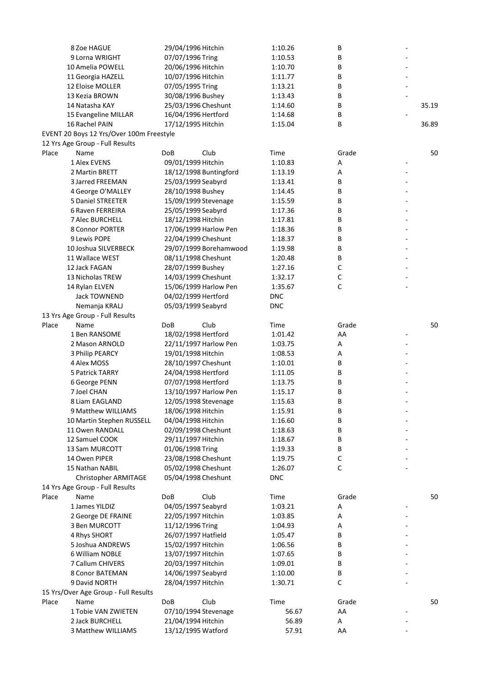|       | 8 Zoe HAGUE                              | 29/04/1996 Hitchin     | 1:10.26    | В                          | ÷, |       |
|-------|------------------------------------------|------------------------|------------|----------------------------|----|-------|
|       | 9 Lorna WRIGHT                           | 07/07/1996 Tring       | 1:10.53    | В                          |    |       |
|       | 10 Amelia POWELL                         | 20/06/1996 Hitchin     | 1:10.70    | B                          |    |       |
|       | 11 Georgia HAZELL                        | 10/07/1996 Hitchin     | 1:11.77    | B                          |    |       |
|       | 12 Eloise MOLLER                         | 07/05/1995 Tring       | 1:13.21    | B                          |    |       |
|       | 13 Kezia BROWN                           | 30/08/1996 Bushey      | 1:13.43    | В                          |    |       |
|       | 14 Natasha KAY                           | 25/03/1996 Cheshunt    | 1:14.60    | В                          |    | 35.19 |
|       | 15 Evangeline MILLAR                     | 16/04/1996 Hertford    | 1:14.68    | В                          |    |       |
|       | 16 Rachel PAIN                           | 17/12/1995 Hitchin     | 1:15.04    | В                          |    | 36.89 |
|       | EVENT 20 Boys 12 Yrs/Over 100m Freestyle |                        |            |                            |    |       |
|       | 12 Yrs Age Group - Full Results          |                        |            |                            |    |       |
| Place | Name                                     | Club<br>DoB            | Time       | Grade                      |    | 50    |
|       | 1 Alex EVENS                             | 09/01/1999 Hitchin     | 1:10.83    | Α                          | -  |       |
|       | 2 Martin BRETT                           | 18/12/1998 Buntingford | 1:13.19    | Α                          |    |       |
|       | 3 Jarred FREEMAN                         | 25/03/1999 Seabyrd     | 1:13.41    | В                          |    |       |
|       | 4 George O'MALLEY                        | 28/10/1998 Bushey      | 1:14.45    | В                          |    |       |
|       | 5 Daniel STREETER                        | 15/09/1999 Stevenage   | 1:15.59    | В                          |    |       |
|       | 6 Raven FERREIRA                         | 25/05/1999 Seabyrd     | 1:17.36    | В                          |    |       |
|       | <b>7 Alec BURCHELL</b>                   | 18/12/1998 Hitchin     | 1:17.81    | В                          |    |       |
|       | 8 Connor PORTER                          | 17/06/1999 Harlow Pen  | 1:18.36    | В                          |    |       |
|       | 9 Lewis POPE                             | 22/04/1999 Cheshunt    | 1:18.37    | B                          |    |       |
|       | 10 Joshua SILVERBECK                     | 29/07/1999 Borehamwood | 1:19.98    | B                          |    |       |
|       | 11 Wallace WEST                          | 08/11/1998 Cheshunt    |            | B                          |    |       |
|       | 12 Jack FAGAN                            |                        | 1:20.48    | $\mathsf C$                |    |       |
|       |                                          | 28/07/1999 Bushey      | 1:27.16    |                            |    |       |
|       | 13 Nicholas TREW                         | 14/03/1999 Cheshunt    | 1:32.17    | $\mathsf C$<br>$\mathsf C$ |    |       |
|       | 14 Rylan ELVEN                           | 15/06/1999 Harlow Pen  | 1:35.67    |                            |    |       |
|       | <b>Jack TOWNEND</b>                      | 04/02/1999 Hertford    | <b>DNC</b> |                            |    |       |
|       | Nemanja KRALJ                            | 05/03/1999 Seabyrd     | <b>DNC</b> |                            |    |       |
|       | 13 Yrs Age Group - Full Results          |                        |            |                            |    |       |
| Place | Name                                     | Club<br><b>DoB</b>     | Time       | Grade                      |    | 50    |
|       | 1 Ben RANSOME                            | 18/02/1998 Hertford    | 1:01.42    | AA                         | ٠  |       |
|       | 2 Mason ARNOLD                           | 22/11/1997 Harlow Pen  | 1:03.75    | Α                          |    |       |
|       | 3 Philip PEARCY                          | 19/01/1998 Hitchin     | 1:08.53    | Α                          |    |       |
|       | 4 Alex MOSS                              | 28/10/1997 Cheshunt    | 1:10.01    | В                          |    |       |
|       | 5 Patrick TARRY                          | 24/04/1998 Hertford    | 1:11.05    | В                          |    |       |
|       | 6 George PENN                            | 07/07/1998 Hertford    | 1:13.75    | В                          |    |       |
|       | 7 Joel CHAN                              | 13/10/1997 Harlow Pen  | 1:15.17    | В                          |    |       |
|       | 8 Liam EAGLAND                           | 12/05/1998 Stevenage   | 1:15.63    | В                          |    |       |
|       | 9 Matthew WILLIAMS                       | 18/06/1998 Hitchin     | 1:15.91    | В                          |    |       |
|       | 10 Martin Stephen RUSSELL                | 04/04/1998 Hitchin     | 1:16.60    | В                          |    |       |
|       | 11 Owen RANDALL                          | 02/09/1998 Cheshunt    | 1:18.63    | В                          |    |       |
|       | 12 Samuel COOK                           | 29/11/1997 Hitchin     | 1:18.67    | В                          |    |       |
|       | 13 Sam MURCOTT                           | 01/06/1998 Tring       | 1:19.33    | В                          |    |       |
|       | 14 Owen PIPER                            | 23/08/1998 Cheshunt    | 1:19.75    | $\mathsf C$                |    |       |
|       | 15 Nathan NABIL                          | 05/02/1998 Cheshunt    | 1:26.07    | $\mathsf C$                |    |       |
|       | Christopher ARMITAGE                     | 05/04/1998 Cheshunt    | <b>DNC</b> |                            |    |       |
|       | 14 Yrs Age Group - Full Results          |                        |            |                            |    |       |
| Place | Name                                     | <b>DoB</b><br>Club     | Time       | Grade                      |    | 50    |
|       | 1 James YILDIZ                           | 04/05/1997 Seabyrd     | 1:03.21    | Α                          |    |       |
|       | 2 George DE FRAINE                       | 22/05/1997 Hitchin     | 1:03.85    | Α                          |    |       |
|       | 3 Ben MURCOTT                            | 11/12/1996 Tring       | 1:04.93    | Α                          |    |       |
|       | 4 Rhys SHORT                             | 26/07/1997 Hatfield    | 1:05.47    | В                          |    |       |
|       | 5 Joshua ANDREWS                         | 15/02/1997 Hitchin     | 1:06.56    | В                          |    |       |
|       | 6 William NOBLE                          | 13/07/1997 Hitchin     | 1:07.65    | В                          |    |       |
|       | 7 Callum CHIVERS                         | 20/03/1997 Hitchin     | 1:09.01    | В                          |    |       |
|       | 8 Conor BATEMAN                          | 14/06/1997 Seabyrd     | 1:10.00    | В                          |    |       |
|       | 9 David NORTH                            | 28/04/1997 Hitchin     | 1:30.71    | $\mathsf C$                |    |       |
|       | 15 Yrs/Over Age Group - Full Results     |                        |            |                            |    |       |
| Place | Name                                     | Club<br><b>DoB</b>     | Time       | Grade                      |    | 50    |
|       | 1 Tobie VAN ZWIETEN                      | 07/10/1994 Stevenage   | 56.67      | AA                         |    |       |
|       | 2 Jack BURCHELL                          | 21/04/1994 Hitchin     | 56.89      | Α                          |    |       |
|       | 3 Matthew WILLIAMS                       | 13/12/1995 Watford     | 57.91      | AA                         |    |       |
|       |                                          |                        |            |                            |    |       |